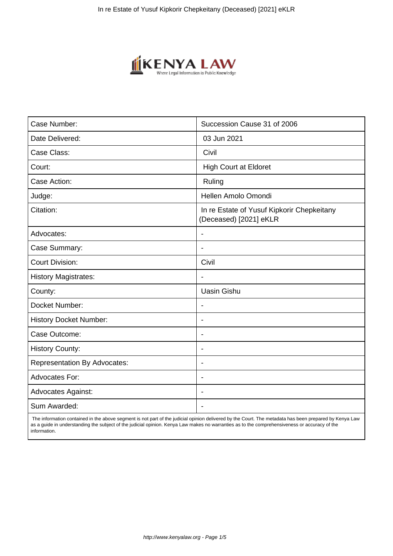

| Case Number:                        | Succession Cause 31 of 2006                                          |
|-------------------------------------|----------------------------------------------------------------------|
| Date Delivered:                     | 03 Jun 2021                                                          |
| Case Class:                         | Civil                                                                |
| Court:                              | <b>High Court at Eldoret</b>                                         |
| Case Action:                        | Ruling                                                               |
| Judge:                              | Hellen Amolo Omondi                                                  |
| Citation:                           | In re Estate of Yusuf Kipkorir Chepkeitany<br>(Deceased) [2021] eKLR |
| Advocates:                          |                                                                      |
| Case Summary:                       | $\blacksquare$                                                       |
| <b>Court Division:</b>              | Civil                                                                |
| <b>History Magistrates:</b>         | $\overline{\phantom{a}}$                                             |
| County:                             | <b>Uasin Gishu</b>                                                   |
| Docket Number:                      |                                                                      |
| <b>History Docket Number:</b>       | $\blacksquare$                                                       |
| Case Outcome:                       | $\overline{\phantom{0}}$                                             |
| <b>History County:</b>              | $\overline{\phantom{a}}$                                             |
| <b>Representation By Advocates:</b> | $\blacksquare$                                                       |
| Advocates For:                      | $\blacksquare$                                                       |
| <b>Advocates Against:</b>           | $\blacksquare$                                                       |
| Sum Awarded:                        |                                                                      |

 The information contained in the above segment is not part of the judicial opinion delivered by the Court. The metadata has been prepared by Kenya Law as a guide in understanding the subject of the judicial opinion. Kenya Law makes no warranties as to the comprehensiveness or accuracy of the information.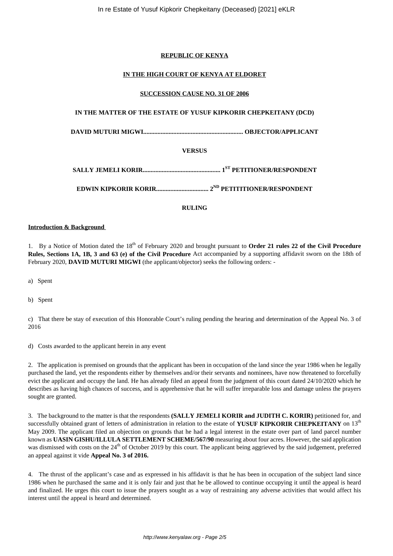## **REPUBLIC OF KENYA**

## **IN THE HIGH COURT OF KENYA AT ELDORET**

## **SUCCESSION CAUSE NO. 31 OF 2006**

## **IN THE MATTER OF THE ESTATE OF YUSUF KIPKORIR CHEPKEITANY (DCD)**

**DAVID MUTURI MIGWI............................................................... OBJECTOR/APPLICANT**

# **VERSUS**

**SALLY JEMELI KORIR................................................. 1ST PETITIONER/RESPONDENT**

**EDWIN KIPKORIR KORIR................................. 2ND PETITITIONER/RESPONDENT**

### **RULING**

#### **Introduction & Background**

1. By a Notice of Motion dated the 18<sup>th</sup> of February 2020 and brought pursuant to **Order 21 rules 22 of the Civil Procedure Rules, Sections 1A, 1B, 3 and 63 (e) of the Civil Procedure** Act accompanied by a supporting affidavit sworn on the 18th of February 2020, **DAVID MUTURI MIGWI** (the applicant/objector) seeks the following orders: -

a) Spent

b) Spent

c) That there be stay of execution of this Honorable Court's ruling pending the hearing and determination of the Appeal No. 3 of 2016

d) Costs awarded to the applicant herein in any event

2. The application is premised on grounds that the applicant has been in occupation of the land since the year 1986 when he legally purchased the land, yet the respondents either by themselves and/or their servants and nominees, have now threatened to forcefully evict the applicant and occupy the land. He has already filed an appeal from the judgment of this court dated 24/10/2020 which he describes as having high chances of success, and is apprehensive that he will suffer irreparable loss and damage unless the prayers sought are granted.

3. The background to the matter is that the respondents **(SALLY JEMELI KORIR and JUDITH C. KORIR)** petitioned for, and successfully obtained grant of letters of administration in relation to the estate of **YUSUF KIPKORIR CHEPKEITANY** on 13<sup>th</sup> May 2009. The applicant filed an objection on grounds that he had a legal interest in the estate over part of land parcel number known as **UASIN GISHU/ILLULA SETTLEMENT SCHEME/567/90** measuring about four acres. However, the said application was dismissed with costs on the 24<sup>th</sup> of October 2019 by this court. The applicant being aggrieved by the said judgement, preferred an appeal against it vide **Appeal No. 3 of 2016.** 

4. The thrust of the applicant's case and as expressed in his affidavit is that he has been in occupation of the subject land since 1986 when he purchased the same and it is only fair and just that he be allowed to continue occupying it until the appeal is heard and finalized. He urges this court to issue the prayers sought as a way of restraining any adverse activities that would affect his interest until the appeal is heard and determined.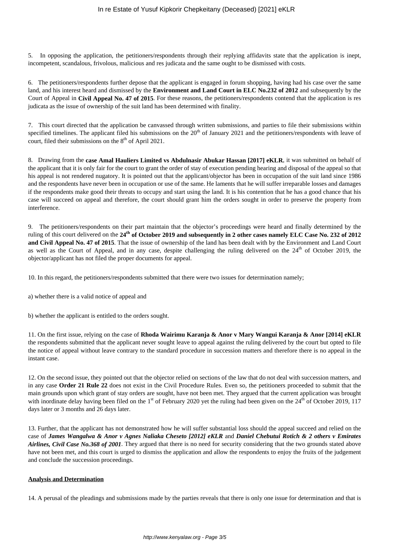5. In opposing the application, the petitioners/respondents through their replying affidavits state that the application is inept, incompetent, scandalous, frivolous, malicious and res judicata and the same ought to be dismissed with costs.

6. The petitioners/respondents further depose that the applicant is engaged in forum shopping, having had his case over the same land, and his interest heard and dismissed by the **Environment and Land Court in ELC No.232 of 2012** and subsequently by the Court of Appeal in **Civil Appeal No. 47 of 2015**. For these reasons, the petitioners/respondents contend that the application is res judicata as the issue of ownership of the suit land has been determined with finality.

7. This court directed that the application be canvassed through written submissions, and parties to file their submissions within specified timelines. The applicant filed his submissions on the  $20<sup>th</sup>$  of January 2021 and the petitioners/respondents with leave of court, filed their submissions on the  $8<sup>th</sup>$  of April 2021.

8. Drawing from the **case Amal Hauliers Limited vs Abdulnasir Abukar Hassan [2017] eKLR**, it was submitted on behalf of the applicant that it is only fair for the court to grant the order of stay of execution pending hearing and disposal of the appeal so that his appeal is not rendered nugatory. It is pointed out that the applicant/objector has been in occupation of the suit land since 1986 and the respondents have never been in occupation or use of the same. He laments that he will suffer irreparable losses and damages if the respondents make good their threats to occupy and start using the land. It is his contention that he has a good chance that his case will succeed on appeal and therefore, the court should grant him the orders sought in order to preserve the property from interference.

9. The petitioners/respondents on their part maintain that the objector's proceedings were heard and finally determined by the ruling of this court delivered on the **24th of October 2019 and subsequently in 2 other cases namely ELC Case No. 232 of 2012 and Civil Appeal No. 47 of 2015**. That the issue of ownership of the land has been dealt with by the Environment and Land Court as well as the Court of Appeal, and in any case, despite challenging the ruling delivered on the  $24<sup>th</sup>$  of October 2019, the objector/applicant has not filed the proper documents for appeal.

10. In this regard, the petitioners/respondents submitted that there were two issues for determination namely;

a) whether there is a valid notice of appeal and

b) whether the applicant is entitled to the orders sought.

11. On the first issue, relying on the case of **Rhoda Wairimu Karanja & Anor v Mary Wangui Karanja & Anor [2014] eKLR** the respondents submitted that the applicant never sought leave to appeal against the ruling delivered by the court but opted to file the notice of appeal without leave contrary to the standard procedure in succession matters and therefore there is no appeal in the instant case.

12. On the second issue, they pointed out that the objector relied on sections of the law that do not deal with succession matters, and in any case **Order 21 Rule 22** does not exist in the Civil Procedure Rules. Even so, the petitioners proceeded to submit that the main grounds upon which grant of stay orders are sought, have not been met. They argued that the current application was brought with inordinate delay having been filed on the  $1<sup>st</sup>$  of February 2020 yet the ruling had been given on the  $24<sup>th</sup>$  of October 2019, 117 days later or 3 months and 26 days later.

13. Further, that the applicant has not demonstrated how he will suffer substantial loss should the appeal succeed and relied on the case of *James Wangalwa & Anor v Agnes Naliaka Cheseto [2012] eKLR* and *Daniel Chebutui Rotich & 2 others v Emirates Airlines, Civil Case No.368 of 2001*. They argued that there is no need for security considering that the two grounds stated above have not been met, and this court is urged to dismiss the application and allow the respondents to enjoy the fruits of the judgement and conclude the succession proceedings.

### **Analysis and Determination**

14. A perusal of the pleadings and submissions made by the parties reveals that there is only one issue for determination and that is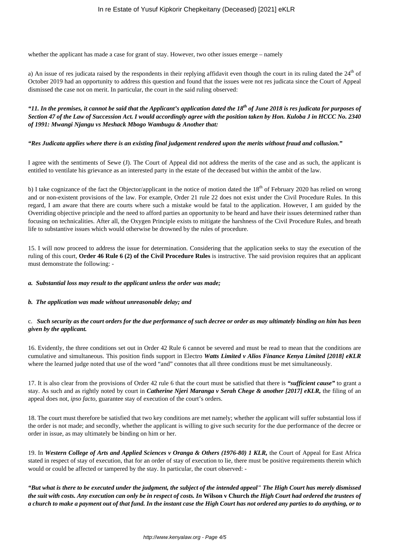whether the applicant has made a case for grant of stay. However, two other issues emerge – namely

a) An issue of res judicata raised by the respondents in their replying affidavit even though the court in its ruling dated the  $24<sup>th</sup>$  of October 2019 had an opportunity to address this question and found that the issues were not res judicata since the Court of Appeal dismissed the case not on merit. In particular, the court in the said ruling observed:

*"11. In the premises, it cannot be said that the Applicant's application dated the 18th of June 2018 is res judicata for purposes of Section 47 of the Law of Succession Act. I would accordingly agree with the position taken by Hon. Kuloba J in HCCC No. 2340 of 1991: Mwangi Njangu vs Meshack Mbogo Wambugu & Another that:* 

### *"Res Judicata applies where there is an existing final judgement rendered upon the merits without fraud and collusion."*

I agree with the sentiments of Sewe (J). The Court of Appeal did not address the merits of the case and as such, the applicant is entitled to ventilate his grievance as an interested party in the estate of the deceased but within the ambit of the law.

b) I take cognizance of the fact the Objector/applicant in the notice of motion dated the  $18<sup>th</sup>$  of February 2020 has relied on wrong and or non-existent provisions of the law. For example, Order 21 rule 22 does not exist under the Civil Procedure Rules. In this regard, I am aware that there are courts where such a mistake would be fatal to the application. However, I am guided by the Overriding objective principle and the need to afford parties an opportunity to be heard and have their issues determined rather than focusing on technicalities. After all, the Oxygen Principle exists to mitigate the harshness of the Civil Procedure Rules, and breath life to substantive issues which would otherwise be drowned by the rules of procedure.

15. I will now proceed to address the issue for determination. Considering that the application seeks to stay the execution of the ruling of this court, **Order 46 Rule 6 (2) of the Civil Procedure Rules** is instructive. The said provision requires that an applicant must demonstrate the following: -

### *a. Substantial loss may result to the applicant unless the order was made;*

# *b. The application was made without unreasonable delay; and*

## c. *Such security as the court orders for the due performance of such decree or order as may ultimately binding on him has been given by the applicant.*

16. Evidently, the three conditions set out in Order 42 Rule 6 cannot be severed and must be read to mean that the conditions are cumulative and simultaneous. This position finds support in Electro *Watts Limited v Alios Finance Kenya Limited [2018] eKLR* where the learned judge noted that use of the word "and" connotes that all three conditions must be met simultaneously.

17. It is also clear from the provisions of Order 42 rule 6 that the court must be satisfied that there is *"sufficient cause"* to grant a stay. As such and as rightly noted by court in *Catherine Njeri Maranga v Serah Chege & another [2017] eKLR,* the filing of an appeal does not, *ipso facto*, guarantee stay of execution of the court's orders.

18. The court must therefore be satisfied that two key conditions are met namely; whether the applicant will suffer substantial loss if the order is not made; and secondly, whether the applicant is willing to give such security for the due performance of the decree or order in issue, as may ultimately be binding on him or her.

19. In *Western College of Arts and Applied Sciences v Oranga & Others (1976-80) 1 KLR,* the Court of Appeal for East Africa stated in respect of stay of execution, that for an order of stay of execution to lie, there must be positive requirements therein which would or could be affected or tampered by the stay. In particular, the court observed: -

*"But what is there to be executed under the judgment, the subject of the intended appeal" The High Court has merely dismissed the suit with costs. Any execution can only be in respect of costs. In* **Wilson v Church** *the High Court had ordered the trustees of a church to make a payment out of that fund. In the instant case the High Court has not ordered any parties to do anything, or to*